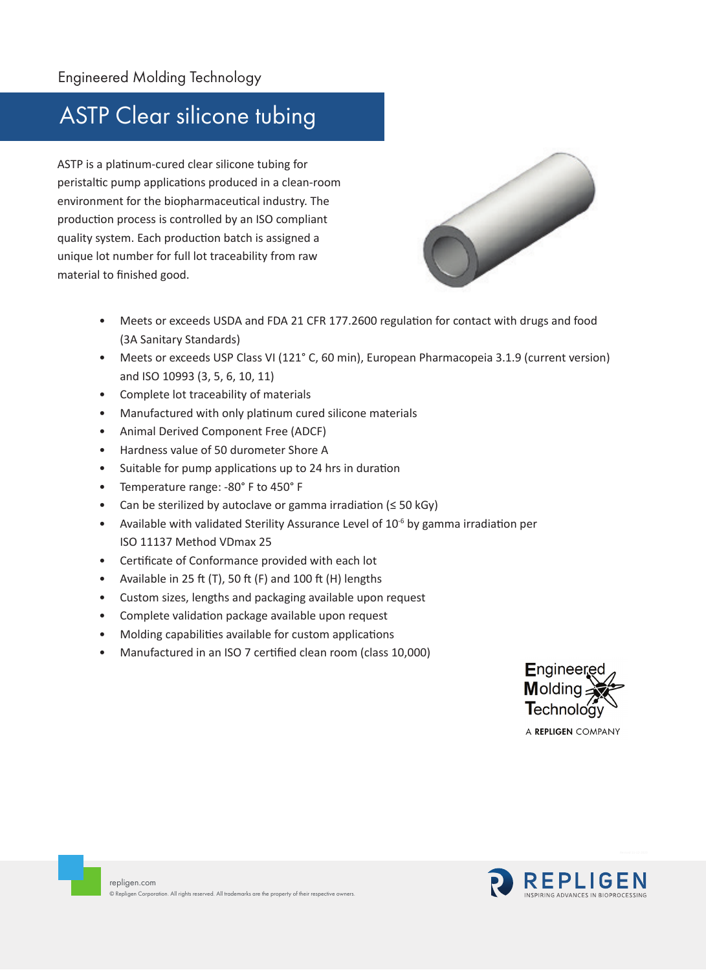## ASTP Clear silicone tubing

ASTP is a platinum-cured clear silicone tubing for peristaltic pump applications produced in a clean-room environment for the biopharmaceutical industry. The production process is controlled by an ISO compliant quality system. Each production batch is assigned a unique lot number for full lot traceability from raw material to finished good.



- Meets or exceeds USDA and FDA 21 CFR 177.2600 regulation for contact with drugs and food (3A Sanitary Standards)
- Meets or exceeds USP Class VI (121° C, 60 min), European Pharmacopeia 3.1.9 (current version) and ISO 10993 (3, 5, 6, 10, 11)
- Complete lot traceability of materials
- Manufactured with only platinum cured silicone materials
- Animal Derived Component Free (ADCF)
- Hardness value of 50 durometer Shore A
- Suitable for pump applications up to 24 hrs in duration
- Temperature range: -80° F to 450° F
- Can be sterilized by autoclave or gamma irradiation ( $\leq$  50 kGy)
- Available with validated Sterility Assurance Level of  $10^{-6}$  by gamma irradiation per ISO 11137 Method VDmax 25
- Certificate of Conformance provided with each lot
- Available in 25 ft (T), 50 ft (F) and 100 ft (H) lengths
- Custom sizes, lengths and packaging available upon request
- Complete validation package available upon request
- Molding capabilities available for custom applications
- Manufactured in an ISO 7 certified clean room (class 10,000)